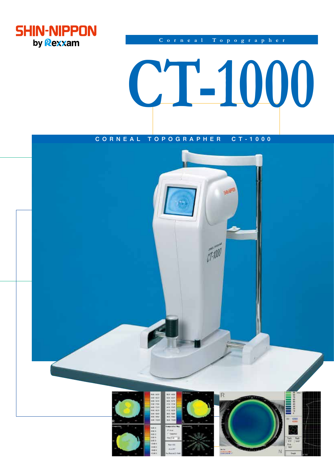

Corneal Topographer

# CT-1000

# CORNEAL TOPOGRAPHER  $C T - 1000$